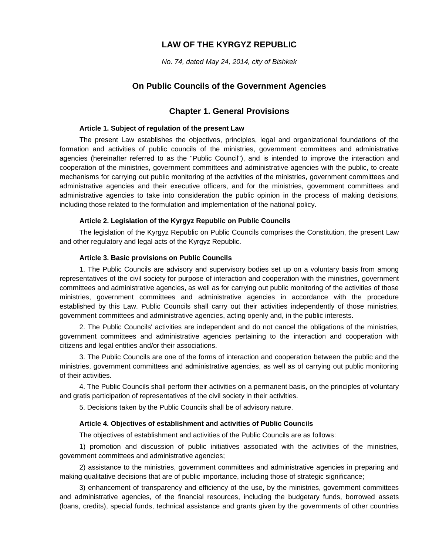# **LAW OF THE KYRGYZ REPUBLIC**

*No. 74, dated May 24, 2014, city of Bishkek*

# **On Public Councils of the Government Agencies**

# **Chapter 1. General Provisions**

#### **Article 1. Subject of regulation of the present Law**

The present Law establishes the objectives, principles, legal and organizational foundations of the formation and activities of public councils of the ministries, government committees and administrative agencies (hereinafter referred to as the "Public Council"), and is intended to improve the interaction and cooperation of the ministries, government committees and administrative agencies with the public, to create mechanisms for carrying out public monitoring of the activities of the ministries, government committees and administrative agencies and their executive officers, and for the ministries, government committees and administrative agencies to take into consideration the public opinion in the process of making decisions, including those related to the formulation and implementation of the national policy.

### **Article 2. Legislation of the Kyrgyz Republic on Public Councils**

The legislation of the Kyrgyz Republic on Public Councils comprises the Constitution, the present Law and other regulatory and legal acts of the Kyrgyz Republic.

## **Article 3. Basic provisions on Public Councils**

1. The Public Councils are advisory and supervisory bodies set up on a voluntary basis from among representatives of the civil society for purpose of interaction and cooperation with the ministries, government committees and administrative agencies, as well as for carrying out public monitoring of the activities of those ministries, government committees and administrative agencies in accordance with the procedure established by this Law. Public Councils shall carry out their activities independently of those ministries, government committees and administrative agencies, acting openly and, in the public interests.

2. The Public Councils' activities are independent and do not cancel the obligations of the ministries, government committees and administrative agencies pertaining to the interaction and cooperation with citizens and legal entities and/or their associations.

3. The Public Councils are one of the forms of interaction and cooperation between the public and the ministries, government committees and administrative agencies, as well as of carrying out public monitoring of their activities.

4. The Public Councils shall perform their activities on a permanent basis, on the principles of voluntary and gratis participation of representatives of the civil society in their activities.

5. Decisions taken by the Public Councils shall be of advisory nature.

### **Article 4. Objectives of establishment and activities of Public Councils**

The objectives of establishment and activities of the Public Councils are as follows:

1) promotion and discussion of public initiatives associated with the activities of the ministries, government committees and administrative agencies;

2) assistance to the ministries, government committees and administrative agencies in preparing and making qualitative decisions that are of public importance, including those of strategic significance;

3) enhancement of transparency and efficiency of the use, by the ministries, government committees and administrative agencies, of the financial resources, including the budgetary funds, borrowed assets (loans, credits), special funds, technical assistance and grants given by the governments of other countries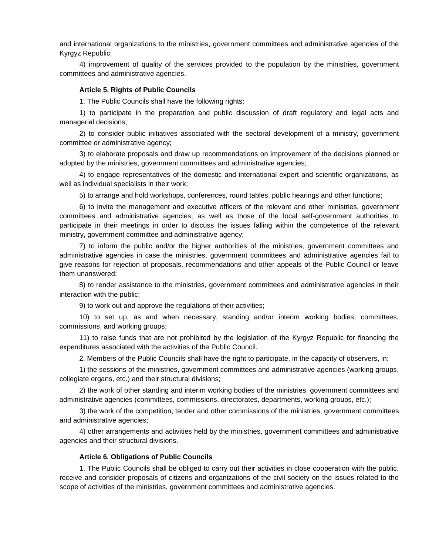and international organizations to the ministries, government committees and administrative agencies of the Kyrgyz Republic;

4) improvement of quality of the services provided to the population by the ministries, government committees and administrative agencies.

#### **Article 5. Rights of Public Councils**

1. The Public Councils shall have the following rights:

1) to participate in the preparation and public discussion of draft regulatory and legal acts and managerial decisions;

2) to consider public initiatives associated with the sectoral development of a ministry, government committee or administrative agency;

3) to elaborate proposals and draw up recommendations on improvement of the decisions planned or adopted by the ministries, government committees and administrative agencies;

4) to engage representatives of the domestic and international expert and scientific organizations, as well as individual specialists in their work;

5) to arrange and hold workshops, conferences, round tables, public hearings and other functions;

6) to invite the management and executive officers of the relevant and other ministries, government committees and administrative agencies, as well as those of the local self-government authorities to participate in their meetings in order to discuss the issues falling within the competence of the relevant ministry, government committee and administrative agency;

7) to inform the public and/or the higher authorities of the ministries, government committees and administrative agencies in case the ministries, government committees and administrative agencies fail to give reasons for rejection of proposals, recommendations and other appeals of the Public Council or leave them unanswered;

8) to render assistance to the ministries, government committees and administrative agencies in their interaction with the public;

9) to work out and approve the regulations of their activities;

10) to set up, as and when necessary, standing and/or interim working bodies: committees, commissions, and working groups;

11) to raise funds that are not prohibited by the legislation of the Kyrgyz Republic for financing the expenditures associated with the activities of the Public Council.

2. Members of the Public Councils shall have the right to participate, in the capacity of observers, in:

1) the sessions of the ministries, government committees and administrative agencies (working groups, collegiate organs, etc.) and their structural divisions;

2) the work of other standing and interim working bodies of the ministries, government committees and administrative agencies (committees, commissions, directorates, departments, working groups, etc.);

3) the work of the competition, tender and other commissions of the ministries, government committees and administrative agencies;

4) other arrangements and activities held by the ministries, government committees and administrative agencies and their structural divisions.

#### **Article 6. Obligations of Public Councils**

1. The Public Councils shall be obliged to carry out their activities in close cooperation with the public, receive and consider proposals of citizens and organizations of the civil society on the issues related to the scope of activities of the ministries, government committees and administrative agencies.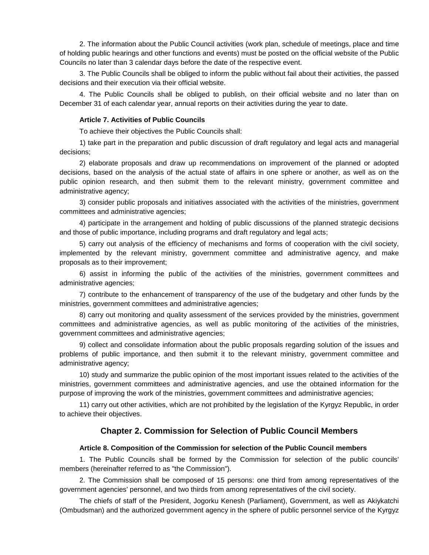2. The information about the Public Council activities (work plan, schedule of meetings, place and time of holding public hearings and other functions and events) must be posted on the official website of the Public Councils no later than 3 calendar days before the date of the respective event.

3. The Public Councils shall be obliged to inform the public without fail about their activities, the passed decisions and their execution via their official website.

4. The Public Councils shall be obliged to publish, on their official website and no later than on December 31 of each calendar year, annual reports on their activities during the year to date.

#### **Article 7. Activities of Public Councils**

To achieve their objectives the Public Councils shall:

1) take part in the preparation and public discussion of draft regulatory and legal acts and managerial decisions;

2) elaborate proposals and draw up recommendations on improvement of the planned or adopted decisions, based on the analysis of the actual state of affairs in one sphere or another, as well as on the public opinion research, and then submit them to the relevant ministry, government committee and administrative agency;

3) consider public proposals and initiatives associated with the activities of the ministries, government committees and administrative agencies;

4) participate in the arrangement and holding of public discussions of the planned strategic decisions and those of public importance, including programs and draft regulatory and legal acts;

5) carry out analysis of the efficiency of mechanisms and forms of cooperation with the civil society, implemented by the relevant ministry, government committee and administrative agency, and make proposals as to their improvement;

6) assist in informing the public of the activities of the ministries, government committees and administrative agencies;

7) contribute to the enhancement of transparency of the use of the budgetary and other funds by the ministries, government committees and administrative agencies;

8) carry out monitoring and quality assessment of the services provided by the ministries, government committees and administrative agencies, as well as public monitoring of the activities of the ministries, government committees and administrative agencies;

9) collect and consolidate information about the public proposals regarding solution of the issues and problems of public importance, and then submit it to the relevant ministry, government committee and administrative agency;

10) study and summarize the public opinion of the most important issues related to the activities of the ministries, government committees and administrative agencies, and use the obtained information for the purpose of improving the work of the ministries, government committees and administrative agencies;

11) carry out other activities, which are not prohibited by the legislation of the Kyrgyz Republic, in order to achieve their objectives.

## **Chapter 2. Commission for Selection of Public Council Members**

#### **Article 8. Composition of the Commission for selection of the Public Council members**

1. The Public Councils shall be formed by the Commission for selection of the public councils' members (hereinafter referred to as "the Commission").

2. The Commission shall be composed of 15 persons: one third from among representatives of the government agencies' personnel, and two thirds from among representatives of the civil society.

The chiefs of staff of the President, Jogorku Kenesh (Parliament), Government, as well as Akiykatchi (Ombudsman) and the authorized government agency in the sphere of public personnel service of the Kyrgyz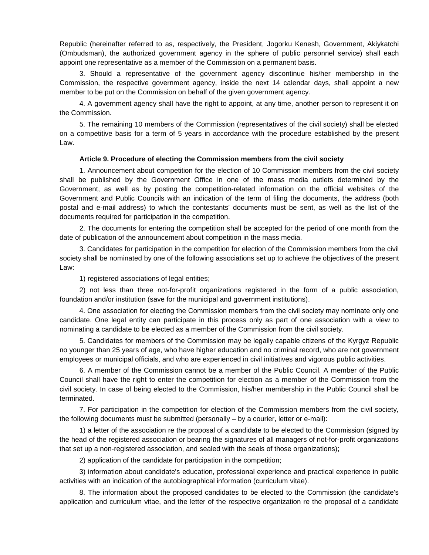Republic (hereinafter referred to as, respectively, the President, Jogorku Kenesh, Government, Akiykatchi (Ombudsman), the authorized government agency in the sphere of public personnel service) shall each appoint one representative as a member of the Commission on a permanent basis.

3. Should a representative of the government agency discontinue his/her membership in the Commission, the respective government agency, inside the next 14 calendar days, shall appoint a new member to be put on the Commission on behalf of the given government agency.

4. A government agency shall have the right to appoint, at any time, another person to represent it on the Commission.

5. The remaining 10 members of the Commission (representatives of the civil society) shall be elected on a competitive basis for a term of 5 years in accordance with the procedure established by the present Law.

#### **Article 9. Procedure of electing the Commission members from the civil society**

1. Announcement about competition for the election of 10 Commission members from the civil society shall be published by the Government Office in one of the mass media outlets determined by the Government, as well as by posting the competition-related information on the official websites of the Government and Public Councils with an indication of the term of filing the documents, the address (both postal and e-mail address) to which the contestants' documents must be sent, as well as the list of the documents required for participation in the competition.

2. The documents for entering the competition shall be accepted for the period of one month from the date of publication of the announcement about competition in the mass media.

3. Candidates for participation in the competition for election of the Commission members from the civil society shall be nominated by one of the following associations set up to achieve the objectives of the present Law:

1) registered associations of legal entities;

2) not less than three not-for-profit organizations registered in the form of a public association, foundation and/or institution (save for the municipal and government institutions).

4. One association for electing the Commission members from the civil society may nominate only one candidate. One legal entity can participate in this process only as part of one association with a view to nominating a candidate to be elected as a member of the Commission from the civil society.

5. Candidates for members of the Commission may be legally capable citizens of the Kyrgyz Republic no younger than 25 years of age, who have higher education and no criminal record, who are not government employees or municipal officials, and who are experienced in civil initiatives and vigorous public activities.

6. A member of the Commission cannot be a member of the Public Council. A member of the Public Council shall have the right to enter the competition for election as a member of the Commission from the civil society. In case of being elected to the Commission, his/her membership in the Public Council shall be terminated.

7. For participation in the competition for election of the Commission members from the civil society, the following documents must be submitted (personally – by a courier, letter or e-mail):

1) a letter of the association re the proposal of a candidate to be elected to the Commission (signed by the head of the registered association or bearing the signatures of all managers of not-for-profit organizations that set up a non-registered association, and sealed with the seals of those organizations);

2) application of the candidate for participation in the competition;

3) information about candidate's education, professional experience and practical experience in public activities with an indication of the autobiographical information (curriculum vitae).

8. The information about the proposed candidates to be elected to the Commission (the candidate's application and curriculum vitae, and the letter of the respective organization re the proposal of a candidate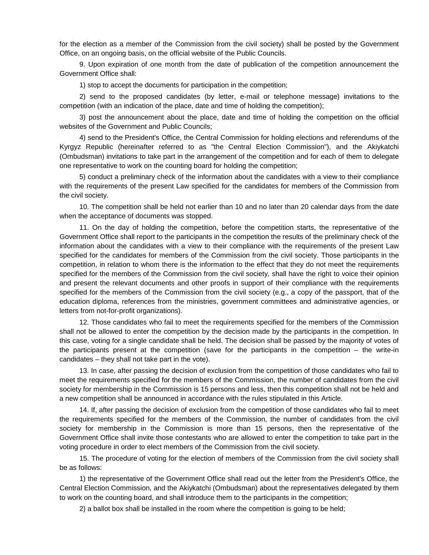for the election as a member of the Commission from the civil society) shall be posted by the Government Office, on an ongoing basis, on the official website of the Public Councils.

9. Upon expiration of one month from the date of publication of the competition announcement the Government Office shall:

1) stop to accept the documents for participation in the competition;

2) send to the proposed candidates (by letter, e-mail or telephone message) invitations to the competition (with an indication of the place, date and time of holding the competition);

3) post the announcement about the place, date and time of holding the competition on the official websites of the Government and Public Councils;

4) send to the President's Office, the Central Commission for holding elections and referendums of the Kyrgyz Republic (hereinafter referred to as "the Central Election Commission"), and the Akiykatchi (Ombudsman) invitations to take part in the arrangement of the competition and for each of them to delegate one representative to work on the counting board for holding the competition;

5) conduct a preliminary check of the information about the candidates with a view to their compliance with the requirements of the present Law specified for the candidates for members of the Commission from the civil society.

10. The competition shall be held not earlier than 10 and no later than 20 calendar days from the date when the acceptance of documents was stopped.

11. On the day of holding the competition, before the competition starts, the representative of the Government Office shall report to the participants in the competition the results of the preliminary check of the information about the candidates with a view to their compliance with the requirements of the present Law specified for the candidates for members of the Commission from the civil society. Those participants in the competition, in relation to whom there is the information to the effect that they do not meet the requirements specified for the members of the Commission from the civil society, shall have the right to voice their opinion and present the relevant documents and other proofs in support of their compliance with the requirements specified for the members of the Commission from the civil society (e.g., a copy of the passport, that of the education diploma, references from the ministries, government committees and administrative agencies, or letters from not-for-profit organizations).

12. Those candidates who fail to meet the requirements specified for the members of the Commission shall not be allowed to enter the competition by the decision made by the participants in the competition. In this case, voting for a single candidate shall be held. The decision shall be passed by the majority of votes of the participants present at the competition (save for the participants in the competition – the write-in candidates – they shall not take part in the vote).

13. In case, after passing the decision of exclusion from the competition of those candidates who fail to meet the requirements specified for the members of the Commission, the number of candidates from the civil society for membership in the Commission is 15 persons and less, then this competition shall not be held and a new competition shall be announced in accordance with the rules stipulated in this Article.

14. If, after passing the decision of exclusion from the competition of those candidates who fail to meet the requirements specified for the members of the Commission, the number of candidates from the civil society for membership in the Commission is more than 15 persons, then the representative of the Government Office shall invite those contestants who are allowed to enter the competition to take part in the voting procedure in order to elect members of the Commission from the civil society.

15. The procedure of voting for the election of members of the Commission from the civil society shall be as follows:

1) the representative of the Government Office shall read out the letter from the President's Office, the Central Election Commission, and the Akiykatchi (Ombudsman) about the representatives delegated by them to work on the counting board, and shall introduce them to the participants in the competition;

2) a ballot box shall be installed in the room where the competition is going to be held;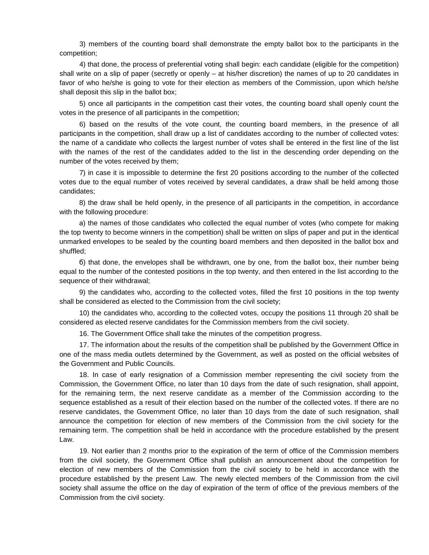3) members of the counting board shall demonstrate the empty ballot box to the participants in the competition;

4) that done, the process of preferential voting shall begin: each candidate (eligible for the competition) shall write on a slip of paper (secretly or openly – at his/her discretion) the names of up to 20 candidates in favor of who he/she is going to vote for their election as members of the Commission, upon which he/she shall deposit this slip in the ballot box;

5) once all participants in the competition cast their votes, the counting board shall openly count the votes in the presence of all participants in the competition;

6) based on the results of the vote count, the counting board members, in the presence of all participants in the competition, shall draw up a list of candidates according to the number of collected votes: the name of a candidate who collects the largest number of votes shall be entered in the first line of the list with the names of the rest of the candidates added to the list in the descending order depending on the number of the votes received by them;

7) in case it is impossible to determine the first 20 positions according to the number of the collected votes due to the equal number of votes received by several candidates, a draw shall be held among those candidates;

8) the draw shall be held openly, in the presence of all participants in the competition, in accordance with the following procedure:

а) the names of those candidates who collected the equal number of votes (who compete for making the top twenty to become winners in the competition) shall be written on slips of paper and put in the identical unmarked envelopes to be sealed by the counting board members and then deposited in the ballot box and shuffled;

б) that done, the envelopes shall be withdrawn, one by one, from the ballot box, their number being equal to the number of the contested positions in the top twenty, and then entered in the list according to the sequence of their withdrawal;

9) the candidates who, according to the collected votes, filled the first 10 positions in the top twenty shall be considered as elected to the Commission from the civil society;

10) the candidates who, according to the collected votes, occupy the positions 11 through 20 shall be considered as elected reserve candidates for the Commission members from the civil society.

16. The Government Office shall take the minutes of the competition progress.

17. The information about the results of the competition shall be published by the Government Office in one of the mass media outlets determined by the Government, as well as posted on the official websites of the Government and Public Councils.

18. In case of early resignation of a Commission member representing the civil society from the Commission, the Government Office, no later than 10 days from the date of such resignation, shall appoint, for the remaining term, the next reserve candidate as a member of the Commission according to the sequence established as a result of their election based on the number of the collected votes. If there are no reserve candidates, the Government Office, no later than 10 days from the date of such resignation, shall announce the competition for election of new members of the Commission from the civil society for the remaining term. The competition shall be held in accordance with the procedure established by the present Law.

19. Not earlier than 2 months prior to the expiration of the term of office of the Commission members from the civil society, the Government Office shall publish an announcement about the competition for election of new members of the Commission from the civil society to be held in accordance with the procedure established by the present Law. The newly elected members of the Commission from the civil society shall assume the office on the day of expiration of the term of office of the previous members of the Commission from the civil society.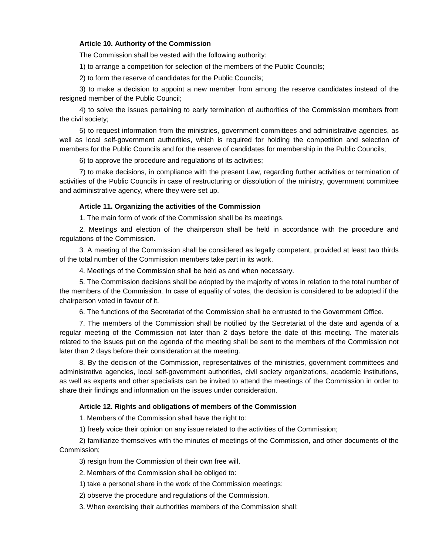### **Article 10. Authority of the Commission**

The Commission shall be vested with the following authority:

1) to arrange a competition for selection of the members of the Public Councils;

2) to form the reserve of candidates for the Public Councils;

3) to make a decision to appoint a new member from among the reserve candidates instead of the resigned member of the Public Council;

4) to solve the issues pertaining to early termination of authorities of the Commission members from the civil society;

5) to request information from the ministries, government committees and administrative agencies, as well as local self-government authorities, which is required for holding the competition and selection of members for the Public Councils and for the reserve of candidates for membership in the Public Councils;

6) to approve the procedure and regulations of its activities;

7) to make decisions, in compliance with the present Law, regarding further activities or termination of activities of the Public Councils in case of restructuring or dissolution of the ministry, government committee and administrative agency, where they were set up.

### **Article 11. Organizing the activities of the Commission**

1. The main form of work of the Commission shall be its meetings.

2. Meetings and election of the chairperson shall be held in accordance with the procedure and regulations of the Commission.

3. A meeting of the Commission shall be considered as legally competent, provided at least two thirds of the total number of the Commission members take part in its work.

4. Meetings of the Commission shall be held as and when necessary.

5. The Commission decisions shall be adopted by the majority of votes in relation to the total number of the members of the Commission. In case of equality of votes, the decision is considered to be adopted if the chairperson voted in favour of it.

6. The functions of the Secretariat of the Commission shall be entrusted to the Government Office.

7. The members of the Commission shall be notified by the Secretariat of the date and agenda of a regular meeting of the Commission not later than 2 days before the date of this meeting. The materials related to the issues put on the agenda of the meeting shall be sent to the members of the Commission not later than 2 days before their consideration at the meeting.

8. By the decision of the Commission, representatives of the ministries, government committees and administrative agencies, local self-government authorities, civil society organizations, academic institutions, as well as experts and other specialists can be invited to attend the meetings of the Commission in order to share their findings and information on the issues under consideration.

### **Article 12. Rights and obligations of members of the Commission**

1. Members of the Commission shall have the right to:

1) freely voice their opinion on any issue related to the activities of the Commission;

2) familiarize themselves with the minutes of meetings of the Commission, and other documents of the Commission;

3) resign from the Commission of their own free will.

2. Members of the Commission shall be obliged to:

1) take a personal share in the work of the Commission meetings;

2) observe the procedure and regulations of the Commission.

3. When exercising their authorities members of the Commission shall: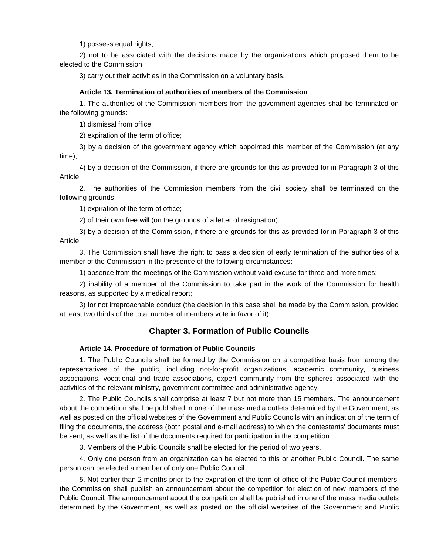1) possess equal rights;

2) not to be associated with the decisions made by the organizations which proposed them to be elected to the Commission;

3) carry out their activities in the Commission on a voluntary basis.

#### **Article 13. Termination of authorities of members of the Commission**

1. The authorities of the Commission members from the government agencies shall be terminated on the following grounds:

1) dismissal from office;

2) expiration of the term of office;

3) by a decision of the government agency which appointed this member of the Commission (at any time);

4) by a decision of the Commission, if there are grounds for this as provided for in Paragraph 3 of this Article.

2. The authorities of the Commission members from the civil society shall be terminated on the following grounds:

1) expiration of the term of office;

2) of their own free will (on the grounds of a letter of resignation);

3) by a decision of the Commission, if there are grounds for this as provided for in Paragraph 3 of this Article.

3. The Commission shall have the right to pass a decision of early termination of the authorities of a member of the Commission in the presence of the following circumstances:

1) absence from the meetings of the Commission without valid excuse for three and more times;

2) inability of a member of the Commission to take part in the work of the Commission for health reasons, as supported by a medical report;

3) for not irreproachable conduct (the decision in this case shall be made by the Commission, provided at least two thirds of the total number of members vote in favor of it).

# **Chapter 3. Formation of Public Councils**

### **Article 14. Procedure of formation of Public Councils**

1. The Public Councils shall be formed by the Commission on a competitive basis from among the representatives of the public, including not-for-profit organizations, academic community, business associations, vocational and trade associations, expert community from the spheres associated with the activities of the relevant ministry, government committee and administrative agency.

2. The Public Councils shall comprise at least 7 but not more than 15 members. The announcement about the competition shall be published in one of the mass media outlets determined by the Government, as well as posted on the official websites of the Government and Public Councils with an indication of the term of filing the documents, the address (both postal and e-mail address) to which the contestants' documents must be sent, as well as the list of the documents required for participation in the competition.

3. Members of the Public Councils shall be elected for the period of two years.

4. Only one person from an organization can be elected to this or another Public Council. The same person can be elected a member of only one Public Council.

5. Not earlier than 2 months prior to the expiration of the term of office of the Public Council members, the Commission shall publish an announcement about the competition for election of new members of the Public Council. The announcement about the competition shall be published in one of the mass media outlets determined by the Government, as well as posted on the official websites of the Government and Public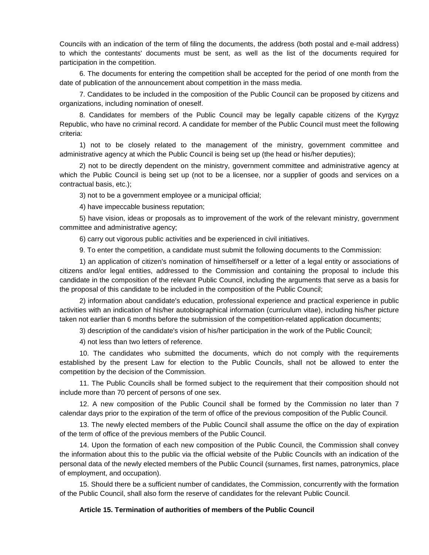Councils with an indication of the term of filing the documents, the address (both postal and e-mail address) to which the contestants' documents must be sent, as well as the list of the documents required for participation in the competition.

6. The documents for entering the competition shall be accepted for the period of one month from the date of publication of the announcement about competition in the mass media.

7. Candidates to be included in the composition of the Public Council can be proposed by citizens and organizations, including nomination of oneself.

8. Candidates for members of the Public Council may be legally capable citizens of the Kyrgyz Republic, who have no criminal record. A candidate for member of the Public Council must meet the following criteria:

1) not to be closely related to the management of the ministry, government committee and administrative agency at which the Public Council is being set up (the head or his/her deputies);

2) not to be directly dependent on the ministry, government committee and administrative agency at which the Public Council is being set up (not to be a licensee, nor a supplier of goods and services on a contractual basis, etc.);

3) not to be a government employee or a municipal official;

4) have impeccable business reputation;

5) have vision, ideas or proposals as to improvement of the work of the relevant ministry, government committee and administrative agency;

6) carry out vigorous public activities and be experienced in civil initiatives.

9. To enter the competition, a candidate must submit the following documents to the Commission:

1) an application of citizen's nomination of himself/herself or a letter of a legal entity or associations of citizens and/or legal entities, addressed to the Commission and containing the proposal to include this candidate in the composition of the relevant Public Council, including the arguments that serve as a basis for the proposal of this candidate to be included in the composition of the Public Council;

2) information about candidate's education, professional experience and practical experience in public activities with an indication of his/her autobiographical information (curriculum vitae), including his/her picture taken not earlier than 6 months before the submission of the competition-related application documents;

3) description of the candidate's vision of his/her participation in the work of the Public Council;

4) not less than two letters of reference.

10. The candidates who submitted the documents, which do not comply with the requirements established by the present Law for election to the Public Councils, shall not be allowed to enter the competition by the decision of the Commission.

11. The Public Councils shall be formed subject to the requirement that their composition should not include more than 70 percent of persons of one sex.

12. A new composition of the Public Council shall be formed by the Commission no later than 7 calendar days prior to the expiration of the term of office of the previous composition of the Public Council.

13. The newly elected members of the Public Council shall assume the office on the day of expiration of the term of office of the previous members of the Public Council.

14. Upon the formation of each new composition of the Public Council, the Commission shall convey the information about this to the public via the official website of the Public Councils with an indication of the personal data of the newly elected members of the Public Council (surnames, first names, patronymics, place of employment, and occupation).

15. Should there be a sufficient number of candidates, the Commission, concurrently with the formation of the Public Council, shall also form the reserve of candidates for the relevant Public Council.

## **Article 15. Termination of authorities of members of the Public Council**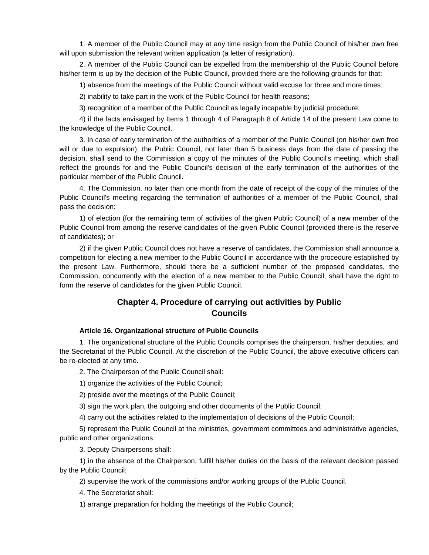1. A member of the Public Council may at any time resign from the Public Council of his/her own free will upon submission the relevant written application (a letter of resignation).

2. A member of the Public Council can be expelled from the membership of the Public Council before his/her term is up by the decision of the Public Council, provided there are the following grounds for that:

1) absence from the meetings of the Public Council without valid excuse for three and more times;

2) inability to take part in the work of the Public Council for health reasons;

3) recognition of a member of the Public Council as legally incapable by judicial procedure;

4) if the facts envisaged by Items 1 through 4 of Paragraph 8 of Article 14 of the present Law come to the knowledge of the Public Council.

3. In case of early termination of the authorities of a member of the Public Council (on his/her own free will or due to expulsion), the Public Council, not later than 5 business days from the date of passing the decision, shall send to the Commission a copy of the minutes of the Public Council's meeting, which shall reflect the grounds for and the Public Council's decision of the early termination of the authorities of the particular member of the Public Council.

4. The Commission, no later than one month from the date of receipt of the copy of the minutes of the Public Council's meeting regarding the termination of authorities of a member of the Public Council, shall pass the decision:

1) of election (for the remaining term of activities of the given Public Council) of a new member of the Public Council from among the reserve candidates of the given Public Council (provided there is the reserve of candidates); or

2) if the given Public Council does not have a reserve of candidates, the Commission shall announce a competition for electing a new member to the Public Council in accordance with the procedure established by the present Law. Furthermore, should there be a sufficient number of the proposed candidates, the Commission, concurrently with the election of a new member to the Public Council, shall have the right to form the reserve of candidates for the given Public Council.

# **Chapter 4. Procedure of carrying out activities by Public Councils**

## **Article 16. Organizational structure of Public Councils**

1. The organizational structure of the Public Councils comprises the chairperson, his/her deputies, and the Secretariat of the Public Council. At the discretion of the Public Council, the above executive officers can be re-elected at any time.

2. The Chairperson of the Public Council shall:

1) organize the activities of the Public Council;

2) preside over the meetings of the Public Council;

3) sign the work plan, the outgoing and other documents of the Public Council;

4) carry out the activities related to the implementation of decisions of the Public Council;

5) represent the Public Council at the ministries, government committees and administrative agencies, public and other organizations.

3. Deputy Chairpersons shall:

1) in the absence of the Chairperson, fulfill his/her duties on the basis of the relevant decision passed by the Public Council;

2) supervise the work of the commissions and/or working groups of the Public Council.

4. The Secretariat shall:

1) arrange preparation for holding the meetings of the Public Council;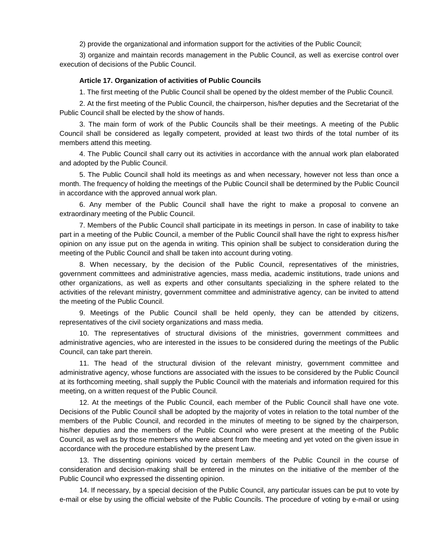2) provide the organizational and information support for the activities of the Public Council;

3) organize and maintain records management in the Public Council, as well as exercise control over execution of decisions of the Public Council.

#### **Article 17. Organization of activities of Public Councils**

1. The first meeting of the Public Council shall be opened by the oldest member of the Public Council.

2. At the first meeting of the Public Council, the chairperson, his/her deputies and the Secretariat of the Public Council shall be elected by the show of hands.

3. The main form of work of the Public Councils shall be their meetings. A meeting of the Public Council shall be considered as legally competent, provided at least two thirds of the total number of its members attend this meeting.

4. The Public Council shall carry out its activities in accordance with the annual work plan elaborated and adopted by the Public Council.

5. The Public Council shall hold its meetings as and when necessary, however not less than once a month. The frequency of holding the meetings of the Public Council shall be determined by the Public Council in accordance with the approved annual work plan.

6. Any member of the Public Council shall have the right to make a proposal to convene an extraordinary meeting of the Public Council.

7. Members of the Public Council shall participate in its meetings in person. In case of inability to take part in a meeting of the Public Council, a member of the Public Council shall have the right to express his/her opinion on any issue put on the agenda in writing. This opinion shall be subject to consideration during the meeting of the Public Council and shall be taken into account during voting.

8. When necessary, by the decision of the Public Council, representatives of the ministries, government committees and administrative agencies, mass media, academic institutions, trade unions and other organizations, as well as experts and other consultants specializing in the sphere related to the activities of the relevant ministry, government committee and administrative agency, can be invited to attend the meeting of the Public Council.

9. Meetings of the Public Council shall be held openly, they can be attended by citizens, representatives of the civil society organizations and mass media.

10. The representatives of structural divisions of the ministries, government committees and administrative agencies, who are interested in the issues to be considered during the meetings of the Public Council, can take part therein.

11. The head of the structural division of the relevant ministry, government committee and administrative agency, whose functions are associated with the issues to be considered by the Public Council at its forthcoming meeting, shall supply the Public Council with the materials and information required for this meeting, on a written request of the Public Council.

12. At the meetings of the Public Council, each member of the Public Council shall have one vote. Decisions of the Public Council shall be adopted by the majority of votes in relation to the total number of the members of the Public Council, and recorded in the minutes of meeting to be signed by the chairperson, his/her deputies and the members of the Public Council who were present at the meeting of the Public Council, as well as by those members who were absent from the meeting and yet voted on the given issue in accordance with the procedure established by the present Law.

13. The dissenting opinions voiced by certain members of the Public Council in the course of consideration and decision-making shall be entered in the minutes on the initiative of the member of the Public Council who expressed the dissenting opinion.

14. If necessary, by a special decision of the Public Council, any particular issues can be put to vote by e-mail or else by using the official website of the Public Councils. The procedure of voting by e-mail or using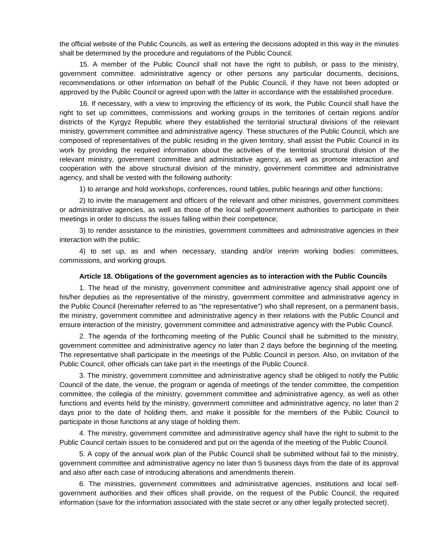the official website of the Public Councils, as well as entering the decisions adopted in this way in the minutes shall be determined by the procedure and regulations of the Public Council.

15. A member of the Public Council shall not have the right to publish, or pass to the ministry, government committee. administrative agency or other persons any particular documents, decisions, recommendations or other information on behalf of the Public Council, if they have not been adopted or approved by the Public Council or agreed upon with the latter in accordance with the established procedure.

16. If necessary, with a view to improving the efficiency of its work, the Public Council shall have the right to set up committees, commissions and working groups in the territories of certain regions and/or districts of the Kyrgyz Republic where they established the territorial structural divisions of the relevant ministry, government committee and administrative agency. These structures of the Public Council, which are composed of representatives of the public residing in the given territory, shall assist the Public Council in its work by providing the required information about the activities of the territorial structural division of the relevant ministry, government committee and administrative agency, as well as promote interaction and cooperation with the above structural division of the ministry, government committee and administrative agency, and shall be vested with the following authority:

1) to arrange and hold workshops, conferences, round tables, public hearings and other functions;

2) to invite the management and officers of the relevant and other ministries, government committees or administrative agencies, as well as those of the local self-government authorities to participate in their meetings in order to discuss the issues falling within their competence;

3) to render assistance to the ministries, government committees and administrative agencies in their interaction with the public;

4) to set up, as and when necessary, standing and/or interim working bodies: committees, commissions, and working groups.

#### **Article 18. Obligations of the government agencies as to interaction with the Public Councils**

1. The head of the ministry, government committee and administrative agency shall appoint one of his/her deputies as the representative of the ministry, government committee and administrative agency in the Public Council (hereinafter referred to as "the representative") who shall represent, on a permanent basis, the ministry, government committee and administrative agency in their relations with the Public Council and ensure interaction of the ministry, government committee and administrative agency with the Public Council.

2. The agenda of the forthcoming meeting of the Public Council shall be submitted to the ministry, government committee and administrative agency no later than 2 days before the beginning of the meeting. The representative shall participate in the meetings of the Public Council in person. Also, on invitation of the Public Council, other officials can take part in the meetings of the Public Council.

3. The ministry, government committee and administrative agency shall be obliged to notify the Public Council of the date, the venue, the program or agenda of meetings of the tender committee, the competition committee, the collegia of the ministry, government committee and administrative agency, as well as other functions and events held by the ministry, government committee and administrative agency, no later than 2 days prior to the date of holding them, and make it possible for the members of the Public Council to participate in those functions at any stage of holding them.

4. The ministry, government committee and administrative agency shall have the right to submit to the Public Council certain issues to be considered and put on the agenda of the meeting of the Public Council.

5. A copy of the annual work plan of the Public Council shall be submitted without fail to the ministry, government committee and administrative agency no later than 5 business days from the date of its approval and also after each case of introducing alterations and amendments therein.

6. The ministries, government committees and administrative agencies, institutions and local selfgovernment authorities and their offices shall provide, on the request of the Public Council, the required information (save for the information associated with the state secret or any other legally protected secret).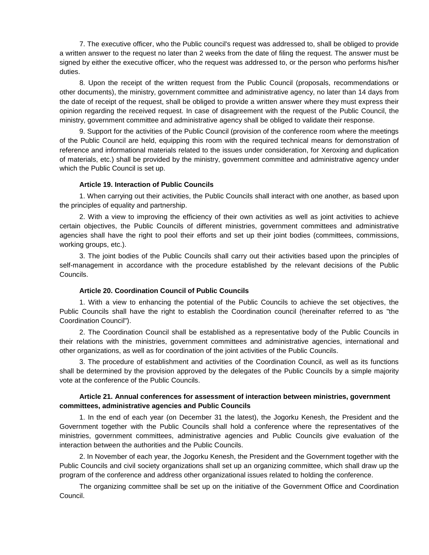7. The executive officer, who the Public council's request was addressed to, shall be obliged to provide a written answer to the request no later than 2 weeks from the date of filing the request. The answer must be signed by either the executive officer, who the request was addressed to, or the person who performs his/her duties.

8. Upon the receipt of the written request from the Public Council (proposals, recommendations or other documents), the ministry, government committee and administrative agency, no later than 14 days from the date of receipt of the request, shall be obliged to provide a written answer where they must express their opinion regarding the received request. In case of disagreement with the request of the Public Council, the ministry, government committee and administrative agency shall be obliged to validate their response.

9. Support for the activities of the Public Council (provision of the conference room where the meetings of the Public Council are held, equipping this room with the required technical means for demonstration of reference and informational materials related to the issues under consideration, for Xeroxing and duplication of materials, etc.) shall be provided by the ministry, government committee and administrative agency under which the Public Council is set up.

## **Article 19. Interaction of Public Councils**

1. When carrying out their activities, the Public Councils shall interact with one another, as based upon the principles of equality and partnership.

2. With a view to improving the efficiency of their own activities as well as joint activities to achieve certain objectives, the Public Councils of different ministries, government committees and administrative agencies shall have the right to pool their efforts and set up their joint bodies (committees, commissions, working groups, etc.).

3. The joint bodies of the Public Councils shall carry out their activities based upon the principles of self-management in accordance with the procedure established by the relevant decisions of the Public Councils.

#### **Article 20. Coordination Council of Public Councils**

1. With a view to enhancing the potential of the Public Councils to achieve the set objectives, the Public Councils shall have the right to establish the Coordination council (hereinafter referred to as "the Coordination Council").

2. The Coordination Council shall be established as a representative body of the Public Councils in their relations with the ministries, government committees and administrative agencies, international and other organizations, as well as for coordination of the joint activities of the Public Councils.

3. The procedure of establishment and activities of the Coordination Council, as well as its functions shall be determined by the provision approved by the delegates of the Public Councils by a simple majority vote at the conference of the Public Councils.

## **Article 21. Annual conferences for assessment of interaction between ministries, government committees, administrative agencies and Public Councils**

1. In the end of each year (on December 31 the latest), the Jogorku Kenesh, the President and the Government together with the Public Councils shall hold a conference where the representatives of the ministries, government committees, administrative agencies and Public Councils give evaluation of the interaction between the authorities and the Public Councils.

2. In November of each year, the Jogorku Kenesh, the President and the Government together with the Public Councils and civil society organizations shall set up an organizing committee, which shall draw up the program of the conference and address other organizational issues related to holding the conference.

The organizing committee shall be set up on the initiative of the Government Office and Coordination Council.